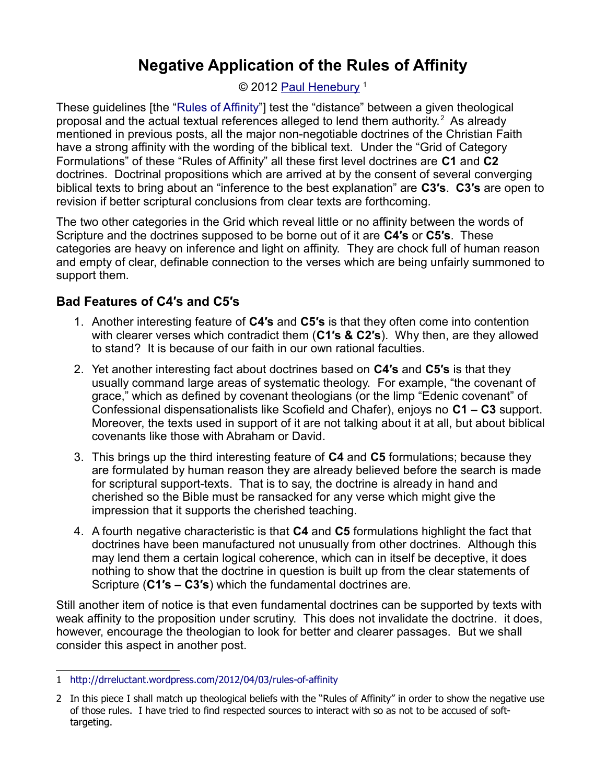### © 2012 [Paul Henebury](http://www.spiritandtruth.org/id/ph.htm)<sup>[1](#page-0-0)</sup>

These guidelines [the ["Rules of Affinity"](http://www.spiritandtruth.org/teaching/documents/articles/index.htm#106)] test the "distance" between a given theological proposal and the actual textual references alleged to lend them authority.<sup>[2](#page-0-1)</sup> As already mentioned in previous posts, all the major non-negotiable doctrines of the Christian Faith have a strong affinity with the wording of the biblical text. Under the "Grid of Category Formulations" of these "Rules of Affinity" all these first level doctrines are **C1** and **C2** doctrines. Doctrinal propositions which are arrived at by the consent of several converging biblical texts to bring about an "inference to the best explanation" are **C3′s**. **C3′s** are open to revision if better scriptural conclusions from clear texts are forthcoming.

The two other categories in the Grid which reveal little or no affinity between the words of Scripture and the doctrines supposed to be borne out of it are **C4′s** or **C5′s**. These categories are heavy on inference and light on affinity. They are chock full of human reason and empty of clear, definable connection to the verses which are being unfairly summoned to support them.

# **Bad Features of C4′s and C5′s**

- 1. Another interesting feature of **C4′s** and **C5′s** is that they often come into contention with clearer verses which contradict them (**C1′s & C2′s**). Why then, are they allowed to stand? It is because of our faith in our own rational faculties.
- 2. Yet another interesting fact about doctrines based on **C4′s** and **C5′s** is that they usually command large areas of systematic theology. For example, "the covenant of grace," which as defined by covenant theologians (or the limp "Edenic covenant" of Confessional dispensationalists like Scofield and Chafer), enjoys no **C1 – C3** support. Moreover, the texts used in support of it are not talking about it at all, but about biblical covenants like those with Abraham or David.
- 3. This brings up the third interesting feature of **C4** and **C5** formulations; because they are formulated by human reason they are already believed before the search is made for scriptural support-texts. That is to say, the doctrine is already in hand and cherished so the Bible must be ransacked for any verse which might give the impression that it supports the cherished teaching.
- 4. A fourth negative characteristic is that **C4** and **C5** formulations highlight the fact that doctrines have been manufactured not unusually from other doctrines. Although this may lend them a certain logical coherence, which can in itself be deceptive, it does nothing to show that the doctrine in question is built up from the clear statements of Scripture (**C1′s – C3′s**) which the fundamental doctrines are.

Still another item of notice is that even fundamental doctrines can be supported by texts with weak affinity to the proposition under scrutiny. This does not invalidate the doctrine. it does, however, encourage the theologian to look for better and clearer passages. But we shall consider this aspect in another post.

<span id="page-0-0"></span><sup>1</sup> <http://drreluctant.wordpress.com/2012/04/03/rules-of-affinity>

<span id="page-0-1"></span><sup>2</sup> In this piece I shall match up theological beliefs with the "Rules of Affinity" in order to show the negative use of those rules. I have tried to find respected sources to interact with so as not to be accused of softtargeting.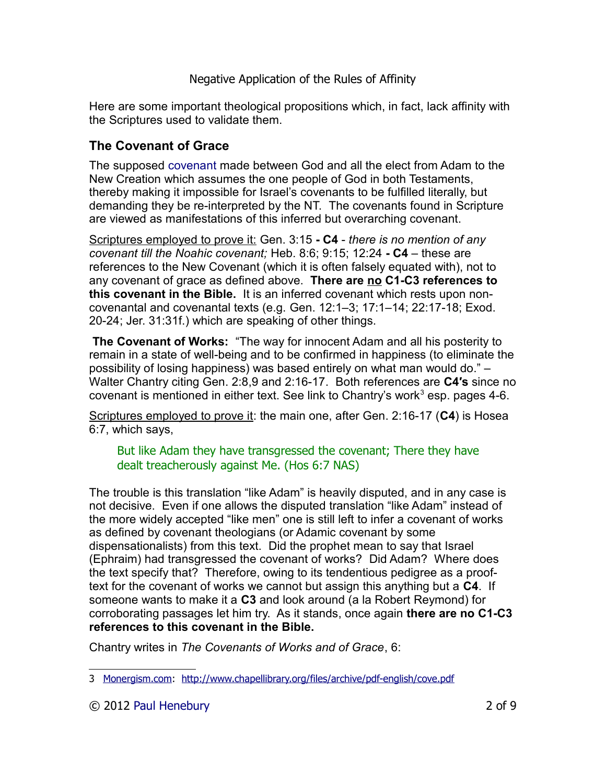Here are some important theological propositions which, in fact, lack affinity with the Scriptures used to validate them.

# **The Covenant of Grace**

The supposed [covenant](http://www.opc.org/cce/covenant.html) made between God and all the elect from Adam to the New Creation which assumes the one people of God in both Testaments, thereby making it impossible for Israel's covenants to be fulfilled literally, but demanding they be re-interpreted by the NT. The covenants found in Scripture are viewed as manifestations of this inferred but overarching covenant.

Scriptures employed to prove it: Gen. 3:15 **- C4** - *there is no mention of any covenant till the Noahic covenant;* Heb. 8:6; 9:15; 12:24 **- C4** – these are references to the New Covenant (which it is often falsely equated with), not to any covenant of grace as defined above. **There are no C1-C3 references to this covenant in the Bible.** It is an inferred covenant which rests upon noncovenantal and covenantal texts (e.g. Gen. 12:1–3; 17:1–14; 22:17-18; Exod. 20-24; Jer. 31:31f.) which are speaking of other things.

**The Covenant of Works:** "The way for innocent Adam and all his posterity to remain in a state of well-being and to be confirmed in happiness (to eliminate the possibility of losing happiness) was based entirely on what man would do." – Walter Chantry citing Gen. 2:8,9 and 2:16-17. Both references are **C4′s** since no covenant is mentioned in either text. See link to Chantry's work $3$  esp. pages 4-6.

Scriptures employed to prove it: the main one, after Gen. 2:16-17 (**C4**) is Hosea 6:7, which says,

But like Adam they have transgressed the covenant; There they have dealt treacherously against Me. (Hos 6:7 NAS)

The trouble is this translation "like Adam" is heavily disputed, and in any case is not decisive. Even if one allows the disputed translation "like Adam" instead of the more widely accepted "like men" one is still left to infer a covenant of works as defined by covenant theologians (or Adamic covenant by some dispensationalists) from this text. Did the prophet mean to say that Israel (Ephraim) had transgressed the covenant of works? Did Adam? Where does the text specify that? Therefore, owing to its tendentious pedigree as a prooftext for the covenant of works we cannot but assign this anything but a **C4**. If someone wants to make it a **C3** and look around (a la Robert Reymond) for corroborating passages let him try. As it stands, once again **there are no C1-C3 references to this covenant in the Bible.**

Chantry writes in *The Covenants of Works and of Grace*, 6:

<span id="page-1-0"></span><sup>3</sup> [Monergism.com:](http://Monergism.com/) <http://www.chapellibrary.org/files/archive/pdf-english/cove.pdf>

<sup>© 2012</sup> [Paul Henebury](http://www.spiritandtruth.org/id/ph.htm) 2 of 9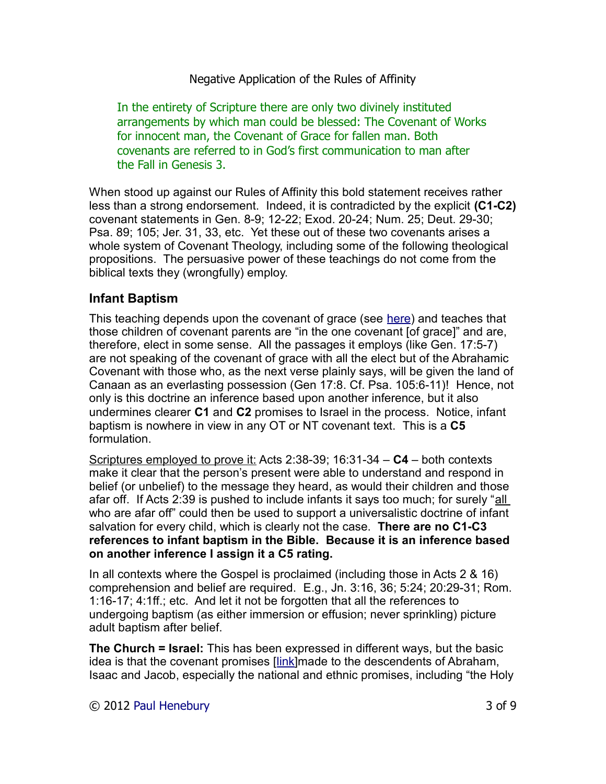In the entirety of Scripture there are only two divinely instituted arrangements by which man could be blessed: The Covenant of Works for innocent man, the Covenant of Grace for fallen man. Both covenants are referred to in God's first communication to man after the Fall in Genesis 3.

When stood up against our Rules of Affinity this bold statement receives rather less than a strong endorsement. Indeed, it is contradicted by the explicit **(C1-C2)** covenant statements in Gen. 8-9; 12-22; Exod. 20-24; Num. 25; Deut. 29-30; Psa. 89; 105; Jer. 31, 33, etc. Yet these out of these two covenants arises a whole system of Covenant Theology, including some of the following theological propositions. The persuasive power of these teachings do not come from the biblical texts they (wrongfully) employ.

## **Infant Baptism**

This teaching depends upon the covenant of grace (see [here\)](http://www.mountainretreatorg.net/articles/infant_baptism.shtml) and teaches that those children of covenant parents are "in the one covenant [of grace]" and are, therefore, elect in some sense. All the passages it employs (like Gen. 17:5-7) are not speaking of the covenant of grace with all the elect but of the Abrahamic Covenant with those who, as the next verse plainly says, will be given the land of Canaan as an everlasting possession (Gen 17:8. Cf. Psa. 105:6-11)! Hence, not only is this doctrine an inference based upon another inference, but it also undermines clearer **C1** and **C2** promises to Israel in the process. Notice, infant baptism is nowhere in view in any OT or NT covenant text. This is a **C5** formulation.

Scriptures employed to prove it: Acts 2:38-39; 16:31-34 – **C4** – both contexts make it clear that the person's present were able to understand and respond in belief (or unbelief) to the message they heard, as would their children and those afar off. If Acts 2:39 is pushed to include infants it says too much; for surely "all who are afar off" could then be used to support a universalistic doctrine of infant salvation for every child, which is clearly not the case. **There are no C1-C3 references to infant baptism in the Bible. Because it is an inference based on another inference I assign it a C5 rating.**

In all contexts where the Gospel is proclaimed (including those in Acts 2 & 16) comprehension and belief are required. E.g., Jn. 3:16, 36; 5:24; 20:29-31; Rom. 1:16-17; 4:1ff.; etc. And let it not be forgotten that all the references to undergoing baptism (as either immersion or effusion; never sprinkling) picture adult baptism after belief.

**The Church = Israel:** This has been expressed in different ways, but the basic idea is that the covenant promises [\[link\]](http://drreluctant.wordpress.com/2010/03/26/a-response-to-some-questions-about-israel-and-the-church/)made to the descendents of Abraham, Isaac and Jacob, especially the national and ethnic promises, including "the Holy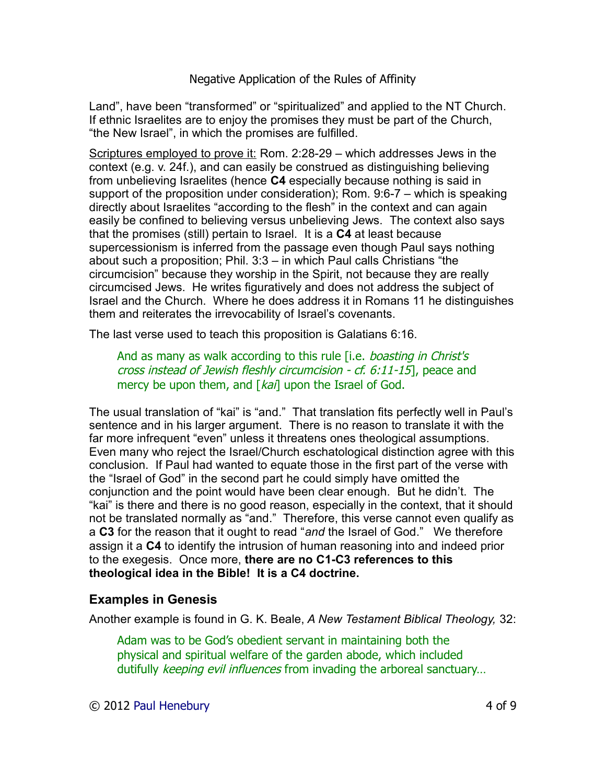Land", have been "transformed" or "spiritualized" and applied to the NT Church. If ethnic Israelites are to enjoy the promises they must be part of the Church, "the New Israel", in which the promises are fulfilled.

Scriptures employed to prove it: Rom. 2:28-29 – which addresses Jews in the context (e.g. v. 24f.), and can easily be construed as distinguishing believing from unbelieving Israelites (hence **C4** especially because nothing is said in support of the proposition under consideration); Rom. 9:6-7 – which is speaking directly about Israelites "according to the flesh" in the context and can again easily be confined to believing versus unbelieving Jews. The context also says that the promises (still) pertain to Israel. It is a **C4** at least because supercessionism is inferred from the passage even though Paul says nothing about such a proposition; Phil. 3:3 – in which Paul calls Christians "the circumcision" because they worship in the Spirit, not because they are really circumcised Jews. He writes figuratively and does not address the subject of Israel and the Church. Where he does address it in Romans 11 he distinguishes them and reiterates the irrevocability of Israel's covenants.

The last verse used to teach this proposition is Galatians 6:16.

And as many as walk according to this rule *[i.e. boasting in Christ's* cross instead of Jewish fleshly circumcision - cf. 6:11-15], peace and mercy be upon them, and  $\left[\frac{k a}{l}\right]$  upon the Israel of God.

The usual translation of "kai" is "and." That translation fits perfectly well in Paul's sentence and in his larger argument. There is no reason to translate it with the far more infrequent "even" unless it threatens ones theological assumptions. Even many who reject the Israel/Church eschatological distinction agree with this conclusion. If Paul had wanted to equate those in the first part of the verse with the "Israel of God" in the second part he could simply have omitted the conjunction and the point would have been clear enough. But he didn't. The "kai" is there and there is no good reason, especially in the context, that it should not be translated normally as "and." Therefore, this verse cannot even qualify as a **C3** for the reason that it ought to read "*and* the Israel of God." We therefore assign it a **C4** to identify the intrusion of human reasoning into and indeed prior to the exegesis. Once more, **there are no C1-C3 references to this theological idea in the Bible! It is a C4 doctrine.**

# **Examples in Genesis**

Another example is found in G. K. Beale, *A New Testament Biblical Theology,* 32:

Adam was to be God's obedient servant in maintaining both the physical and spiritual welfare of the garden abode, which included dutifully keeping evil influences from invading the arboreal sanctuary...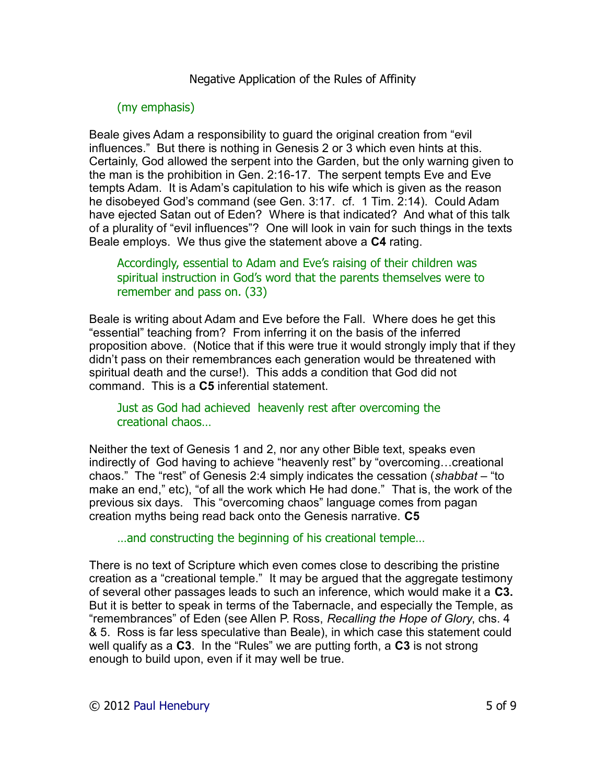### (my emphasis)

Beale gives Adam a responsibility to guard the original creation from "evil influences." But there is nothing in Genesis 2 or 3 which even hints at this. Certainly, God allowed the serpent into the Garden, but the only warning given to the man is the prohibition in Gen. 2:16-17. The serpent tempts Eve and Eve tempts Adam. It is Adam's capitulation to his wife which is given as the reason he disobeyed God's command (see Gen. 3:17. cf. 1 Tim. 2:14). Could Adam have ejected Satan out of Eden? Where is that indicated? And what of this talk of a plurality of "evil influences"? One will look in vain for such things in the texts Beale employs. We thus give the statement above a **C4** rating.

Accordingly, essential to Adam and Eve's raising of their children was spiritual instruction in God's word that the parents themselves were to remember and pass on. (33)

Beale is writing about Adam and Eve before the Fall. Where does he get this "essential" teaching from? From inferring it on the basis of the inferred proposition above. (Notice that if this were true it would strongly imply that if they didn't pass on their remembrances each generation would be threatened with spiritual death and the curse!). This adds a condition that God did not command. This is a **C5** inferential statement.

#### Just as God had achieved heavenly rest after overcoming the creational chaos…

Neither the text of Genesis 1 and 2, nor any other Bible text, speaks even indirectly of God having to achieve "heavenly rest" by "overcoming…creational chaos." The "rest" of Genesis 2:4 simply indicates the cessation (*shabbat* – "to make an end," etc), "of all the work which He had done." That is, the work of the previous six days. This "overcoming chaos" language comes from pagan creation myths being read back onto the Genesis narrative. **C5**

…and constructing the beginning of his creational temple…

There is no text of Scripture which even comes close to describing the pristine creation as a "creational temple." It may be argued that the aggregate testimony of several other passages leads to such an inference, which would make it a **C3.** But it is better to speak in terms of the Tabernacle, and especially the Temple, as "remembrances" of Eden (see Allen P. Ross, *Recalling the Hope of Glory*, chs. 4 & 5. Ross is far less speculative than Beale), in which case this statement could well qualify as a **C3**. In the "Rules" we are putting forth, a **C3** is not strong enough to build upon, even if it may well be true.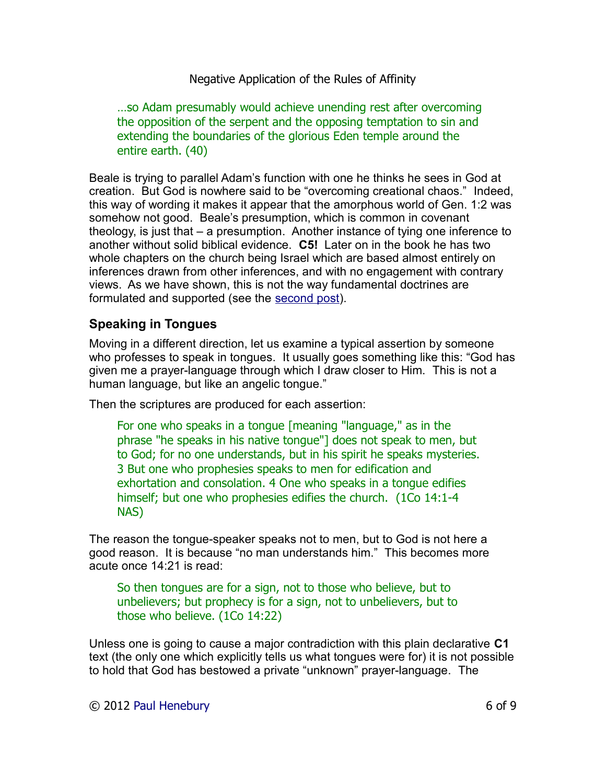…so Adam presumably would achieve unending rest after overcoming the opposition of the serpent and the opposing temptation to sin and extending the boundaries of the glorious Eden temple around the entire earth. (40)

Beale is trying to parallel Adam's function with one he thinks he sees in God at creation. But God is nowhere said to be "overcoming creational chaos." Indeed, this way of wording it makes it appear that the amorphous world of Gen. 1:2 was somehow not good. Beale's presumption, which is common in covenant theology, is just that – a presumption. Another instance of tying one inference to another without solid biblical evidence. **C5!** Later on in the book he has two whole chapters on the church being Israel which are based almost entirely on inferences drawn from other inferences, and with no engagement with contrary views. As we have shown, this is not the way fundamental doctrines are formulated and supported (see the [second post\)](http://drreluctant.wordpress.com/2012/04/15/positive-application-of-the-rules-of-affinity/).

# **Speaking in Tongues**

Moving in a different direction, let us examine a typical assertion by someone who professes to speak in tongues. It usually goes something like this: "God has given me a prayer-language through which I draw closer to Him. This is not a human language, but like an angelic tongue."

Then the scriptures are produced for each assertion:

For one who speaks in a tongue [meaning "language," as in the phrase "he speaks in his native tongue"] does not speak to men, but to God; for no one understands, but in his spirit he speaks mysteries. 3 But one who prophesies speaks to men for edification and exhortation and consolation. 4 One who speaks in a tongue edifies himself; but one who prophesies edifies the church. (1Co 14:1-4 NAS)

The reason the tongue-speaker speaks not to men, but to God is not here a good reason. It is because "no man understands him." This becomes more acute once 14:21 is read:

So then tongues are for a sign, not to those who believe, but to unbelievers; but prophecy is for a sign, not to unbelievers, but to those who believe. (1Co 14:22)

Unless one is going to cause a major contradiction with this plain declarative **C1** text (the only one which explicitly tells us what tongues were for) it is not possible to hold that God has bestowed a private "unknown" prayer-language. The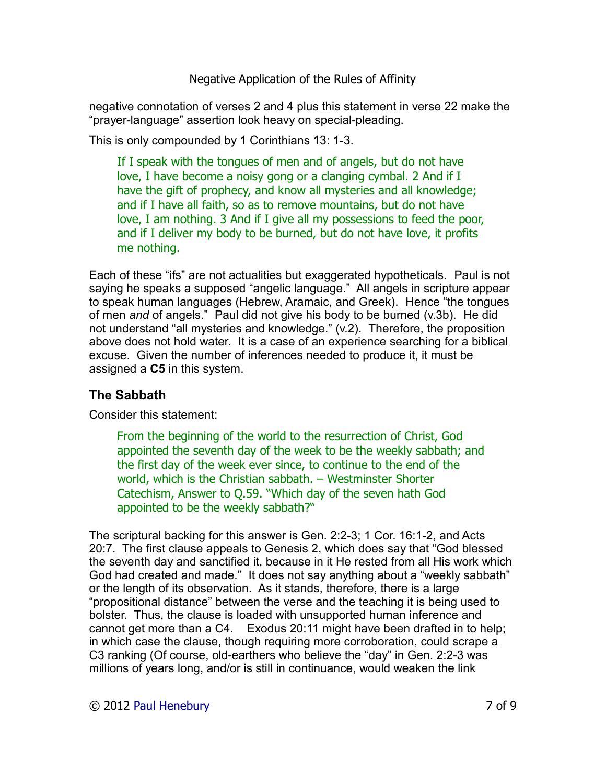negative connotation of verses 2 and 4 plus this statement in verse 22 make the "prayer-language" assertion look heavy on special-pleading.

This is only compounded by 1 Corinthians 13: 1-3.

If I speak with the tongues of men and of angels, but do not have love, I have become a noisy gong or a clanging cymbal. 2 And if I have the gift of prophecy, and know all mysteries and all knowledge; and if I have all faith, so as to remove mountains, but do not have love, I am nothing. 3 And if I give all my possessions to feed the poor, and if I deliver my body to be burned, but do not have love, it profits me nothing.

Each of these "ifs" are not actualities but exaggerated hypotheticals. Paul is not saying he speaks a supposed "angelic language." All angels in scripture appear to speak human languages (Hebrew, Aramaic, and Greek). Hence "the tongues of men *and* of angels." Paul did not give his body to be burned (v.3b). He did not understand "all mysteries and knowledge." (v.2). Therefore, the proposition above does not hold water. It is a case of an experience searching for a biblical excuse. Given the number of inferences needed to produce it, it must be assigned a **C5** in this system.

# **The Sabbath**

Consider this statement:

From the beginning of the world to the resurrection of Christ, God appointed the seventh day of the week to be the weekly sabbath; and the first day of the week ever since, to continue to the end of the world, which is the Christian sabbath. – Westminster Shorter Catechism, Answer to Q.59. "Which day of the seven hath God appointed to be the weekly sabbath?"

The scriptural backing for this answer is Gen. 2:2-3; 1 Cor. 16:1-2, and Acts 20:7. The first clause appeals to Genesis 2, which does say that "God blessed the seventh day and sanctified it, because in it He rested from all His work which God had created and made." It does not say anything about a "weekly sabbath" or the length of its observation. As it stands, therefore, there is a large "propositional distance" between the verse and the teaching it is being used to bolster. Thus, the clause is loaded with unsupported human inference and cannot get more than a C4. Exodus 20:11 might have been drafted in to help; in which case the clause, though requiring more corroboration, could scrape a C3 ranking (Of course, old-earthers who believe the "day" in Gen. 2:2-3 was millions of years long, and/or is still in continuance, would weaken the link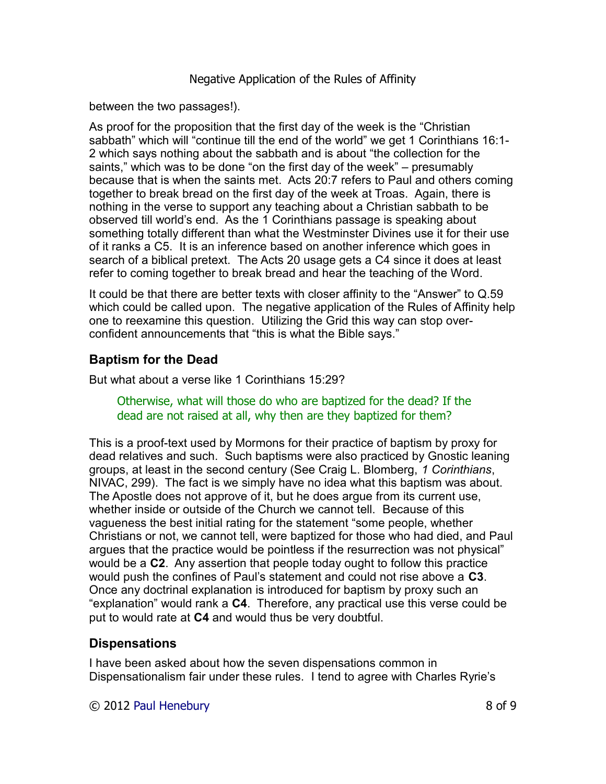between the two passages!).

As proof for the proposition that the first day of the week is the "Christian sabbath" which will "continue till the end of the world" we get 1 Corinthians 16:1- 2 which says nothing about the sabbath and is about "the collection for the saints," which was to be done "on the first day of the week" – presumably because that is when the saints met. Acts 20:7 refers to Paul and others coming together to break bread on the first day of the week at Troas. Again, there is nothing in the verse to support any teaching about a Christian sabbath to be observed till world's end. As the 1 Corinthians passage is speaking about something totally different than what the Westminster Divines use it for their use of it ranks a C5. It is an inference based on another inference which goes in search of a biblical pretext. The Acts 20 usage gets a C4 since it does at least refer to coming together to break bread and hear the teaching of the Word.

It could be that there are better texts with closer affinity to the "Answer" to Q.59 which could be called upon. The negative application of the Rules of Affinity help one to reexamine this question. Utilizing the Grid this way can stop overconfident announcements that "this is what the Bible says."

## **Baptism for the Dead**

But what about a verse like 1 Corinthians 15:29?

Otherwise, what will those do who are baptized for the dead? If the dead are not raised at all, why then are they baptized for them?

This is a proof-text used by Mormons for their practice of baptism by proxy for dead relatives and such. Such baptisms were also practiced by Gnostic leaning groups, at least in the second century (See Craig L. Blomberg, *1 Corinthians*, NIVAC, 299). The fact is we simply have no idea what this baptism was about. The Apostle does not approve of it, but he does argue from its current use, whether inside or outside of the Church we cannot tell. Because of this vagueness the best initial rating for the statement "some people, whether Christians or not, we cannot tell, were baptized for those who had died, and Paul argues that the practice would be pointless if the resurrection was not physical" would be a **C2**. Any assertion that people today ought to follow this practice would push the confines of Paul's statement and could not rise above a **C3**. Once any doctrinal explanation is introduced for baptism by proxy such an "explanation" would rank a **C4**. Therefore, any practical use this verse could be put to would rate at **C4** and would thus be very doubtful.

#### **Dispensations**

I have been asked about how the seven dispensations common in Dispensationalism fair under these rules. I tend to agree with Charles Ryrie's